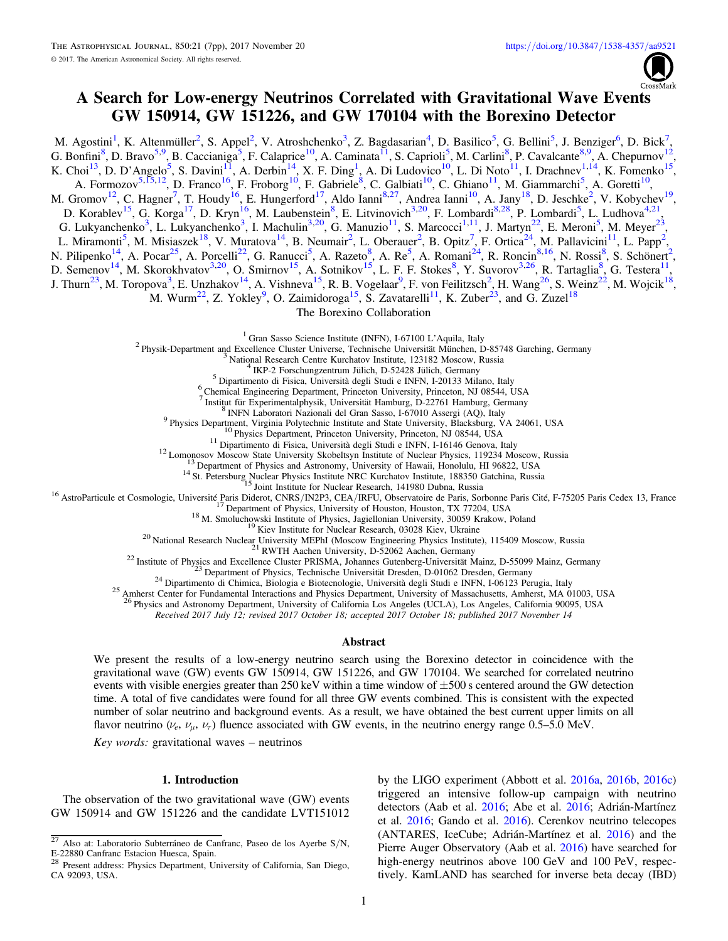

# A Search for Low-energy Neutrinos Correlated with Gravitational Wave Events GW 150914, GW 151226, and GW 170104 with the Borexino Detector

M. Agostini<sup>1</sup>, K. Altenmüller<sup>2</sup>, S. Appel<sup>2</sup>, V. Atroshchenko<sup>3</sup>, Z. Bagdasarian<sup>4</sup>, D. Basilico<sup>5</sup>, G. Bellini<sup>5</sup>, J. Benziger<sup>6</sup>, D. Bick<sup>7</sup> , G. Bonfini<sup>8</sup>, D. Bravo<sup>5,9</sup>, B. Caccianiga<sup>5</sup>, F. Calaprice<sup>10</sup>, A. Caminata<sup>11</sup>, S. Caprioli<sup>5</sup>, M. Carlini<sup>8</sup>, P. Cavalcante<sup>8,9</sup>, A. Chepurnov<sup>12</sup>, K. Choi<sup>13</sup>, D. D'Angelo<sup>5</sup>, S. Davini<sup>11</sup>, A. Derbin<sup>14</sup>, X. F. Ding<sup>1</sup>, A. Di Ludovico<sup>10</sup>, L. Di Noto<sup>11</sup>, I. Drachnev<sup>1,14</sup>, K. Fomenko<sup>15</sup>, A. Formozov<sup>5,15,12</sup>, D. Franco<sup>16</sup>, F. Froborg<sup>10</sup>, F. Gabriele<sup>8</sup>, C. Galbiati<sup>10</sup>, C. Ghiano<sup>11</sup>, M. Giammarchi<sup>5</sup>, A. Goretti<sup>10</sup>, M. Gromov<sup>12</sup>, C. Hagner<sup>7</sup>, T. Houdy<sup>16</sup>, E. Hungerford<sup>17</sup>, Aldo Ianni<sup>8,27</sup>, Andrea Ianni<sup>10</sup>, A. Jany<sup>18</sup>, D. Jeschke<sup>2</sup>, V. Kobychev<sup>19</sup>, D. Korablev<sup>15</sup>, G. Korga<sup>17</sup>, D. Kryn<sup>16</sup>, M. Laubenstein<sup>8</sup>, E. Litvinovich<sup>3,20</sup>, F. Lombardi<sup>8,28</sup>, P. Lombardi<sup>5</sup>, L. Ludhova<sup>4,21</sup>, G. Lukyanchenko<sup>3</sup>, L. Lukyanchenko<sup>3</sup>, I. Machulin<sup>3,20</sup>, G. Manuzio<sup>11</sup>, S. Marcocci<sup>1,11</sup>, J. Martyn<sup>22</sup>, E. Meroni<sup>5</sup>, M. Meyer<sup>23</sup>, L. Miramonti<sup>5</sup>, M. Misiaszek<sup>18</sup>, V. Muratova<sup>14</sup>, B. Neumair<sup>2</sup>, L. Oberauer<sup>2</sup>, B. Opitz<sup>7</sup>, F. Ortica<sup>24</sup>, M. Pallavicini<sup>11</sup>, L. Papp<sup>2</sup>, N. Pilipenko<sup>14</sup>, A. Pocar<sup>25</sup>, A. Porcelli<sup>22</sup>, G. Ranucci<sup>5</sup>, A. Razeto<sup>8</sup>, A. Re<sup>5</sup>, A. Romani<sup>24</sup>, R. Roncin<sup>8,16</sup>, N. Rossi<sup>8</sup>, S. Schönert<sup>2</sup>, D. Semenov<sup>14</sup>, M. Skorokhvatov<sup>3,20</sup>, O. Smirnov<sup>15</sup>, A. Sotnikov<sup>15</sup>, L. F. F. Stokes<sup>8</sup>, Y. Suvorov<sup>3,26</sup>, R. Tartaglia<sup>8</sup>, G. Testera<sup>11</sup>, J. Thurn<sup>23</sup>, M. Toropova<sup>3</sup>, E. Unzhakov<sup>14</sup>, A. Vishneva<sup>15</sup>, R. B. Vogelaar<sup>9</sup>, F. von Feilitzsch<sup>2</sup>, H. Wang<sup>26</sup>, S. Weinz<sup>22</sup>, M. Wojcik<sup>18</sup>, M. Wurm<sup>22</sup>, Z. Yokley<sup>9</sup>, O. Zaimidoroga<sup>15</sup>, S. Zavatarelli<sup>11</sup>, K. Zuber<sup>23</sup>, and G. Zuzel<sup>18</sup> The Borexino Collaboration

<sup>1</sup> Gran Sasso Science Institute (INFN), I-67100 L'Aquila, Italy<br>
<sup>2</sup> Physik-Department and Excellence Cluster Universe, Technische Universität München, D-85748 Garching, Germany<br>
<sup>3</sup> National Research Centre Kurchatov In

<sup>9</sup> Physics Department, Virginia Polytechnic Institute and Stare University, Blacksburg, VA 24061, USA<br><sup>9</sup> Physics Department, Virginia Polytechnic Institute and Stare University, Blacksburg, VA 24061, USA<br><sup>11</sup> Dipartment

<sup>5</sup> Physics and Astronomy Department, University of California Los Angeles (UCLA), Los Angeles, California 90095, USA

Received 2017 July 12; revised 2017 October 18; accepted 2017 October 18; published 2017 November 14

### Abstract

We present the results of a low-energy neutrino search using the Borexino detector in coincidence with the gravitational wave (GW) events GW 150914, GW 151226, and GW 170104. We searched for correlated neutrino events with visible energies greater than  $250 \text{ keV}$  within a time window of  $\pm 500 \text{ s}$  centered around the GW detection time. A total of five candidates were found for all three GW events combined. This is consistent with the expected number of solar neutrino and background events. As a result, we have obtained the best current upper limits on all flavor neutrino ( $\nu_e$ ,  $\nu_\mu$ ,  $\nu_\tau$ ) fluence associated with GW events, in the neutrino energy range 0.5–5.0 MeV.

Key words: gravitational waves  $-$  neutrinos

## 1. Introduction

The observation of the two gravitational wave (GW) events GW 150914 and GW 151226 and the candidate LVT151012

by the LIGO experiment (Abbott et al. [2016a](#page-5-0), [2016b](#page-5-0), [2016c](#page-5-0)) triggered an intensive follow-up campaign with neutrino detectors (Aab et al. [2016](#page-5-0); Abe et al. [2016](#page-5-0); Adrián-Martínez et al. [2016](#page-5-0); Gando et al. [2016](#page-6-0)). Cerenkov neutrino telecopes (ANTARES, IceCube; Adrián-Martínez et al. [2016](#page-5-0)) and the Pierre Auger Observatory (Aab et al. [2016](#page-5-0)) have searched for high-energy neutrinos above 100 GeV and 100 PeV, respectively. KamLAND has searched for inverse beta decay (IBD)

 $\overline{27}$  Also at: Laboratorio Subterráneo de Canfranc, Paseo de los Ayerbe S/N, E-22880 Canfranc Estacion Huesca, Spain.<br><sup>28</sup> Present 11

Present address: Physics Department, University of California, San Diego, CA 92093, USA.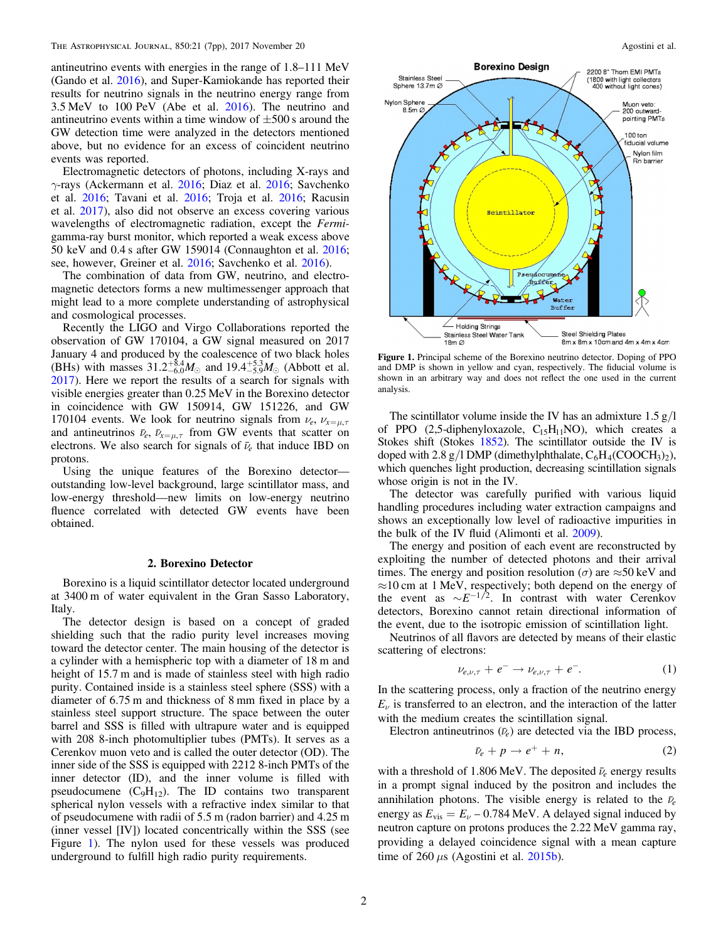antineutrino events with energies in the range of 1.8–111 MeV (Gando et al. [2016](#page-6-0)), and Super-Kamiokande has reported their results for neutrino signals in the neutrino energy range from 3.5 MeV to 100 PeV (Abe et al. [2016](#page-5-0)). The neutrino and antineutrino events within a time window of  $\pm 500$  s around the GW detection time were analyzed in the detectors mentioned above, but no evidence for an excess of coincident neutrino events was reported.

Electromagnetic detectors of photons, including X-rays and  $\gamma$ -rays (Ackermann et al. [2016;](#page-6-0) Diaz et al. 2016; Savchenko et al. [2016](#page-6-0); Tavani et al. [2016;](#page-6-0) Troja et al. [2016;](#page-6-0) Racusin et al. [2017](#page-6-0)), also did not observe an excess covering various wavelengths of electromagnetic radiation, except the Fermigamma-ray burst monitor, which reported a weak excess above 50 keV and 0.4 s after GW 159014 (Connaughton et al. [2016](#page-6-0); see, however, Greiner et al. [2016;](#page-6-0) Savchenko et al. [2016](#page-6-0)).

The combination of data from GW, neutrino, and electromagnetic detectors forms a new multimessenger approach that might lead to a more complete understanding of astrophysical and cosmological processes.

Recently the LIGO and Virgo Collaborations reported the observation of GW 170104, a GW signal measured on 2017 January 4 and produced by the coalescence of two black holes (BHs) with masses  $31.2^{+8.4}_{-6.0}M_{\odot}$  and  $19.4^{+5.3}_{-5.9}M_{\odot}$  (Abbott et al. [2017](#page-5-0)). Here we report the results of a search for signals with visible energies greater than 0.25 MeV in the Borexino detector in coincidence with GW 150914, GW 151226, and GW 170104 events. We look for neutrino signals from  $\nu_e$ ,  $\nu_{x=\mu,\tau}$ and antineutrinos  $\bar{\nu}_e$ ,  $\bar{\nu}_{x=\mu,\tau}$  from GW events that scatter on electrons. We also search for signals of  $\bar{\nu}_e$  that induce IBD on protons.

Using the unique features of the Borexino detector outstanding low-level background, large scintillator mass, and low-energy threshold—new limits on low-energy neutrino fluence correlated with detected GW events have been obtained.

#### 2. Borexino Detector

Borexino is a liquid scintillator detector located underground at 3400 m of water equivalent in the Gran Sasso Laboratory, Italy.

The detector design is based on a concept of graded shielding such that the radio purity level increases moving toward the detector center. The main housing of the detector is a cylinder with a hemispheric top with a diameter of 18 m and height of 15.7 m and is made of stainless steel with high radio purity. Contained inside is a stainless steel sphere (SSS) with a diameter of 6.75 m and thickness of 8 mm fixed in place by a stainless steel support structure. The space between the outer barrel and SSS is filled with ultrapure water and is equipped with 208 8-inch photomultiplier tubes (PMTs). It serves as a Cerenkov muon veto and is called the outer detector (OD). The inner side of the SSS is equipped with 2212 8-inch PMTs of the inner detector (ID), and the inner volume is filled with pseudocumene  $(C_9H_{12})$ . The ID contains two transparent spherical nylon vessels with a refractive index similar to that of pseudocumene with radii of 5.5 m (radon barrier) and 4.25 m (inner vessel [IV]) located concentrically within the SSS (see Figure 1). The nylon used for these vessels was produced underground to fulfill high radio purity requirements.



Figure 1. Principal scheme of the Borexino neutrino detector. Doping of PPO and DMP is shown in yellow and cyan, respectively. The fiducial volume is shown in an arbitrary way and does not reflect the one used in the current analysis.

The scintillator volume inside the IV has an admixture  $1.5 \text{ g}/\text{l}$ of PPO  $(2,5\text{-diphenyloxazole}, C_{15}H_{11}NO)$ , which creates a Stokes shift (Stokes [1852](#page-6-0)). The scintillator outside the IV is doped with 2.8 g/l DMP (dimethylphthalate,  $C_6H_4(COOCH_3)_2$ ), which quenches light production, decreasing scintillation signals whose origin is not in the IV.

The detector was carefully purified with various liquid handling procedures including water extraction campaigns and shows an exceptionally low level of radioactive impurities in the bulk of the IV fluid (Alimonti et al. [2009](#page-5-0)).

The energy and position of each event are reconstructed by exploiting the number of detected photons and their arrival times. The energy and position resolution ( $\sigma$ ) are  $\approx$ 50 keV and ≈10 cm at 1 MeV, respectively; both depend on the energy of the event as  $\sim E^{-1/2}$ . In contrast with water Cerenkov detectors, Borexino cannot retain directional information of the event, due to the isotropic emission of scintillation light.

Neutrinos of all flavors are detected by means of their elastic scattering of electrons:

$$
\nu_{e,\nu,\tau} + e^- \to \nu_{e,\nu,\tau} + e^-.
$$
 (1)

In the scattering process, only a fraction of the neutrino energy  $E_{\nu}$  is transferred to an electron, and the interaction of the latter with the medium creates the scintillation signal.

Electron antineutrinos  $(\bar{\nu}_e)$  are detected via the IBD process,

$$
\bar{\nu}_e + p \to e^+ + n,\tag{2}
$$

with a threshold of 1.806 MeV. The deposited  $\bar{\nu}_e$  energy results in a prompt signal induced by the positron and includes the annihilation photons. The visible energy is related to the  $\bar{\nu}_e$ energy as  $E_{\text{vis}} = E_{\nu} - 0.784 \text{ MeV}$ . A delayed signal induced by neutron capture on protons produces the 2.22 MeV gamma ray, providing a delayed coincidence signal with a mean capture time of 260  $\mu$ s (Agostini et al. [2015b](#page-5-0)).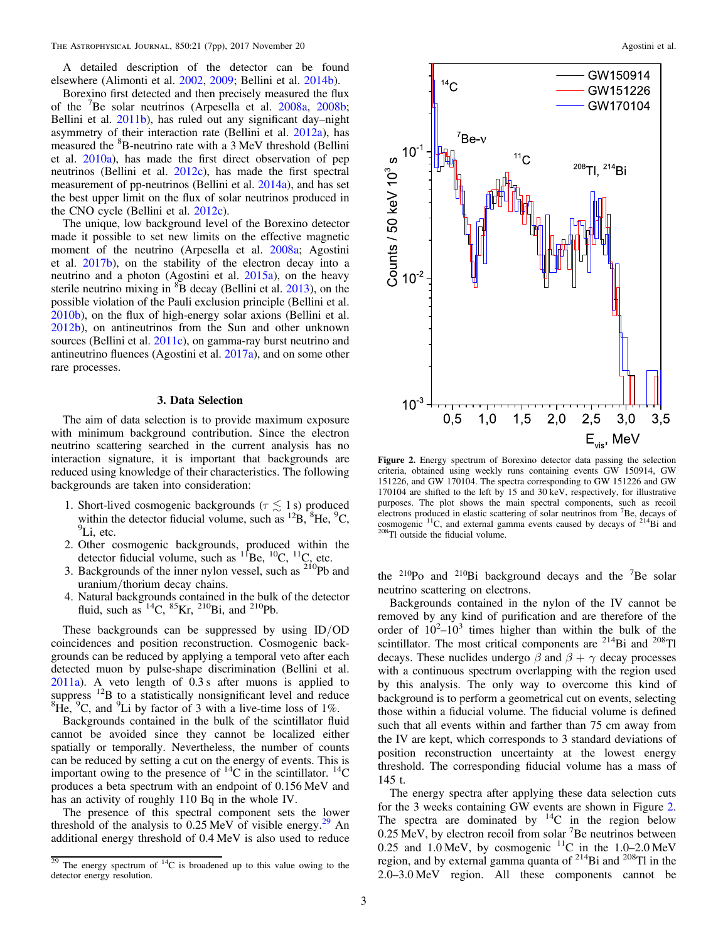A detailed description of the detector can be found elsewhere (Alimonti et al. [2002,](#page-5-0) [2009;](#page-5-0) Bellini et al. [2014b](#page-5-0)).

Borexino first detected and then precisely measured the flux of the <sup>7</sup> Be solar neutrinos (Arpesella et al. [2008a,](#page-5-0) [2008b](#page-5-0); Bellini et al. [2011b](#page-5-0)), has ruled out any significant day–night asymmetry of their interaction rate (Bellini et al. [2012a](#page-5-0)), has measured the <sup>8</sup>B-neutrino rate with a 3 MeV threshold (Bellini et al. [2010a](#page-5-0)), has made the first direct observation of pep neutrinos (Bellini et al. [2012c](#page-5-0)), has made the first spectral measurement of pp-neutrinos (Bellini et al. [2014a](#page-5-0)), and has set the best upper limit on the flux of solar neutrinos produced in the CNO cycle (Bellini et al. [2012c](#page-5-0)).

The unique, low background level of the Borexino detector made it possible to set new limits on the effective magnetic moment of the neutrino (Arpesella et al. [2008a](#page-5-0); Agostini et al. [2017b](#page-5-0)), on the stability of the electron decay into a neutrino and a photon (Agostini et al. [2015a](#page-5-0)), on the heavy sterile neutrino mixing in  ${}^{8}B$  decay (Bellini et al. [2013](#page-5-0)), on the possible violation of the Pauli exclusion principle (Bellini et al. [2010b](#page-5-0)), on the flux of high-energy solar axions (Bellini et al. [2012b](#page-5-0)), on antineutrinos from the Sun and other unknown sources (Bellini et al. [2011c](#page-5-0)), on gamma-ray burst neutrino and antineutrino fluences (Agostini et al. [2017a](#page-5-0)), and on some other rare processes.

### 3. Data Selection

The aim of data selection is to provide maximum exposure with minimum background contribution. Since the electron neutrino scattering searched in the current analysis has no interaction signature, it is important that backgrounds are reduced using knowledge of their characteristics. The following backgrounds are taken into consideration:

- 1. Short-lived cosmogenic backgrounds ( $\tau \lesssim 1$  s) produced within the detector fiducial volume, such as  ${}^{12}B$ ,  ${}^{8}He$ ,  ${}^{9}C$ , <sup>9</sup>Li, etc.
- 2. Other cosmogenic backgrounds, produced within the detector fiducial volume, such as  ${}^{11}$ Be,  ${}^{10}$ C,  ${}^{11}$ C, etc.
- 3. Backgrounds of the inner nylon vessel, such as  $2^{10}Pb$  and uranium/thorium decay chains.
- 4. Natural backgrounds contained in the bulk of the detector fluid, such as  $^{14}C$ ,  $^{85}Kr$ ,  $^{210}Bi$ , and  $^{210}Pb$ .

These backgrounds can be suppressed by using ID/OD coincidences and position reconstruction. Cosmogenic backgrounds can be reduced by applying a temporal veto after each detected muon by pulse-shape discrimination (Bellini et al. [2011a](#page-5-0)). A veto length of 0.3 s after muons is applied to suppress <sup>12</sup>B to a statistically nonsignificant level and reduce  ${}^{8}$ He, <sup>9</sup>C, and <sup>9</sup>Li by factor of 3 with a live-time loss of 1%.

Backgrounds contained in the bulk of the scintillator fluid cannot be avoided since they cannot be localized either spatially or temporally. Nevertheless, the number of counts can be reduced by setting a cut on the energy of events. This is important owing to the presence of  $^{14}$ C in the scintillator.  $^{14}$ C produces a beta spectrum with an endpoint of 0.156 MeV and has an activity of roughly 110 Bq in the whole IV.

The presence of this spectral component sets the lower threshold of the analysis to  $0.25 \,\text{MeV}$  of visible energy.<sup>29</sup> An additional energy threshold of 0.4 MeV is also used to reduce



Figure 2. Energy spectrum of Borexino detector data passing the selection criteria, obtained using weekly runs containing events GW 150914, GW 151226, and GW 170104. The spectra corresponding to GW 151226 and GW 170104 are shifted to the left by 15 and 30 keV, respectively, for illustrative purposes. The plot shows the main spectral components, such as recoil electrons produced in elastic scattering of solar neutrinos from <sup>7</sup> Be, decays of cosmogenic  ${}^{11}C$ , and external gamma events caused by decays of  ${}^{214}Bi$  and  ${}^{208}Ti$  outside the fiducial volume.

the  $^{210}$ Po and  $^{210}$ Bi background decays and the <sup>7</sup>Be solar neutrino scattering on electrons.

Backgrounds contained in the nylon of the IV cannot be removed by any kind of purification and are therefore of the order of  $10^2$ - $10^3$  times higher than within the bulk of the scintillator. The most critical components are <sup>214</sup>Bi and <sup>208</sup>Tl decays. These nuclides undergo  $\beta$  and  $\beta + \gamma$  decay processes with a continuous spectrum overlapping with the region used by this analysis. The only way to overcome this kind of background is to perform a geometrical cut on events, selecting those within a fiducial volume. The fiducial volume is defined such that all events within and farther than 75 cm away from the IV are kept, which corresponds to 3 standard deviations of position reconstruction uncertainty at the lowest energy threshold. The corresponding fiducial volume has a mass of 145 t.

The energy spectra after applying these data selection cuts for the 3 weeks containing GW events are shown in Figure 2. The spectra are dominated by  ${}^{14}C$  in the region below  $0.25 \text{ MeV}$ , by electron recoil from solar <sup>7</sup>Be neutrinos between 0.25 MeV, by clearly recommended  $11<sup>C</sup>$  in the 1.0–2.0 MeV region, and by external gamma quanta of  $2^{14}$ Bi and  $2^{08}$ Tl in the 2.0–3.0 MeV region. All these components cannot be

 $29$  The energy spectrum of  $14$ C is broadened up to this value owing to the detector energy resolution.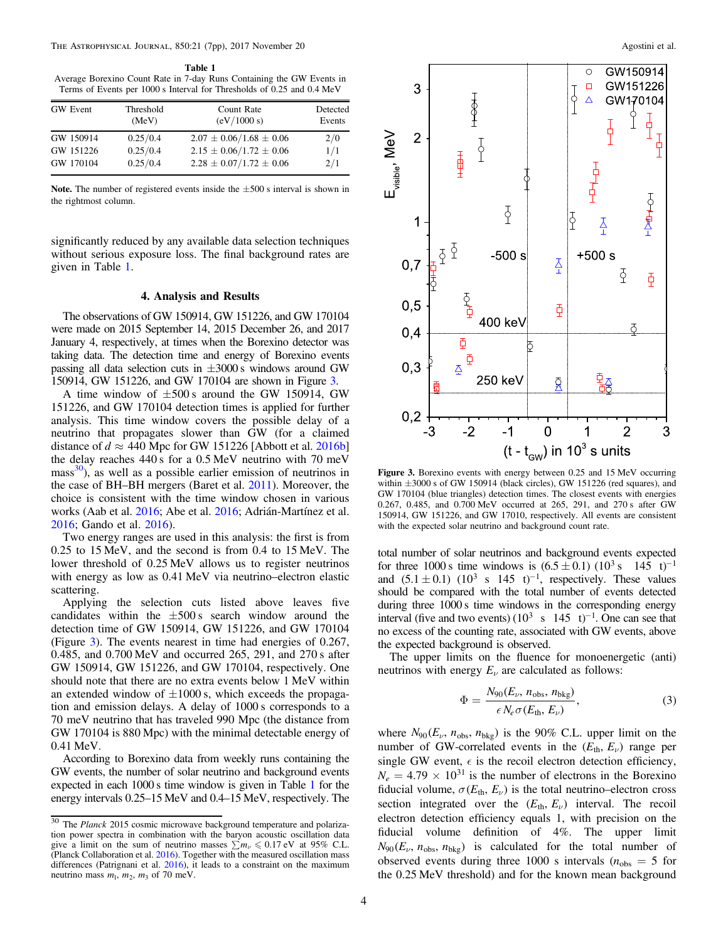<span id="page-3-0"></span>Table 1 Average Borexino Count Rate in 7-day Runs Containing the GW Events in Terms of Events per 1000 s Interval for Thresholds of 0.25 and 0.4 MeV

| <b>GW</b> Event | Threshold<br>(MeV) | Count Rate<br>(eV/1000 s)     | Detected<br>Events |
|-----------------|--------------------|-------------------------------|--------------------|
| GW 150914       | 0.25/0.4           | $2.07 \pm 0.06/1.68 \pm 0.06$ | 2/0                |
| GW 151226       | 0.25/0.4           | $2.15 \pm 0.06/1.72 \pm 0.06$ | 1/1                |
| GW 170104       | 0.25/0.4           | $2.28 \pm 0.07/1.72 \pm 0.06$ | 2/1                |

Note. The number of registered events inside the  $\pm 500$  s interval is shown in the rightmost column.

significantly reduced by any available data selection techniques without serious exposure loss. The final background rates are given in Table 1.

#### 4. Analysis and Results

The observations of GW 150914, GW 151226, and GW 170104 were made on 2015 September 14, 2015 December 26, and 2017 January 4, respectively, at times when the Borexino detector was taking data. The detection time and energy of Borexino events passing all data selection cuts in  $\pm 3000$  s windows around GW 150914, GW 151226, and GW 170104 are shown in Figure 3.

A time window of  $\pm 500$  s around the GW 150914, GW 151226, and GW 170104 detection times is applied for further analysis. This time window covers the possible delay of a neutrino that propagates slower than GW (for a claimed distance of  $d \approx 440$  Mpc for GW 151226 [Abbott et al. [2016b](#page-5-0)] the delay reaches 440 s for a 0.5 MeV neutrino with 70 meV  $mass<sup>30</sup>$ ), as well as a possible earlier emission of neutrinos in the case of BH–BH mergers (Baret et al. [2011](#page-5-0)). Moreover, the choice is consistent with the time window chosen in various works (Aab et al. [2016](#page-5-0); Abe et al. [2016;](#page-5-0) Adrián-Martínez et al. [2016;](#page-5-0) Gando et al. [2016](#page-6-0)).

Two energy ranges are used in this analysis: the first is from 0.25 to 15 MeV, and the second is from 0.4 to 15 MeV. The lower threshold of 0.25 MeV allows us to register neutrinos with energy as low as  $0.41$  MeV via neutrino–electron elastic scattering.

Applying the selection cuts listed above leaves five candidates within the  $\pm 500$  s search window around the detection time of GW 150914, GW 151226, and GW 170104 (Figure 3). The events nearest in time had energies of 0.267, 0.485, and 0.700 MeV and occurred 265, 291, and 270 s after GW 150914, GW 151226, and GW 170104, respectively. One should note that there are no extra events below 1 MeV within an extended window of  $\pm 1000$  s, which exceeds the propagation and emission delays. A delay of 1000 s corresponds to a 70 meV neutrino that has traveled 990 Mpc (the distance from GW 170104 is 880 Mpc) with the minimal detectable energy of 0.41 MeV.

According to Borexino data from weekly runs containing the GW events, the number of solar neutrino and background events expected in each 1000 s time window is given in Table 1 for the energy intervals 0.25–15 MeV and 0.4–15 MeV, respectively. The



Figure 3. Borexino events with energy between 0.25 and 15 MeV occurring within ±3000 s of GW 150914 (black circles), GW 151226 (red squares), and GW 170104 (blue triangles) detection times. The closest events with energies 0.267, 0.485, and 0.700 MeV occurred at 265, 291, and 270 s after GW 150914, GW 151226, and GW 17010, respectively. All events are consistent with the expected solar neutrino and background count rate.

total number of solar neutrinos and background events expected for three 1000 s time windows is  $(6.5 \pm 0.1) (10^3 \text{ s} \quad 145 \text{ t})^{-1}$ and  $(5.1 \pm 0.1)$   $(10^3 \text{ s } 145 \text{ t})^{-1}$ , respectively. These values should be compared with the total number of events detected during three 1000 s time windows in the corresponding energy interval (five and two events)  $(10^3 \text{ s } 145 \text{ t})^{-1}$ . One can see that no excess of the counting rate, associated with GW events, above the expected background is observed.

The upper limits on the fluence for monoenergetic (anti) neutrinos with energy  $E_{\nu}$  are calculated as follows:

$$
\Phi = \frac{N_{90}(E_{\nu}, n_{\text{obs}}, n_{\text{bkg}})}{\epsilon N_e \sigma(E_{\text{th}}, E_{\nu})},\tag{3}
$$

where  $N_{90}(E_v, n_{obs}, n_{bkg})$  is the 90% C.L. upper limit on the number of GW-correlated events in the  $(E_{th}, E_{\nu})$  range per single GW event,  $\epsilon$  is the recoil electron detection efficiency,  $N_e = 4.79 \times 10^{31}$  is the number of electrons in the Borexino fiducial volume,  $\sigma(E_{th}, E_{\nu})$  is the total neutrino–electron cross section integrated over the  $(E_{th}, E_{\nu})$  interval. The recoil electron detection efficiency equals 1, with precision on the fiducial volume definition of 4%. The upper limit  $N_{90} (E_{\nu}, n_{\text{obs}}, n_{\text{bkg}})$  is calculated for the total number of observed events during three 1000 s intervals ( $n_{obs} = 5$  for the 0.25 MeV threshold) and for the known mean background

<sup>30</sup> The *Planck* 2015 cosmic microwave background temperature and polarization power spectra in combination with the baryon acoustic oscillation data give a limit on the sum of neutrino masses  $\sum m_\nu \leqslant 0.17 \text{ eV}$  at 95% C.L. (Planck Collaboration et al. [2016](#page-6-0)). Together with the measured oscillation mass differences (Patrignani et al. [2016](#page-6-0)), it leads to a constraint on the maximum neutrino mass  $m_1$ ,  $m_2$ ,  $m_3$  of 70 meV.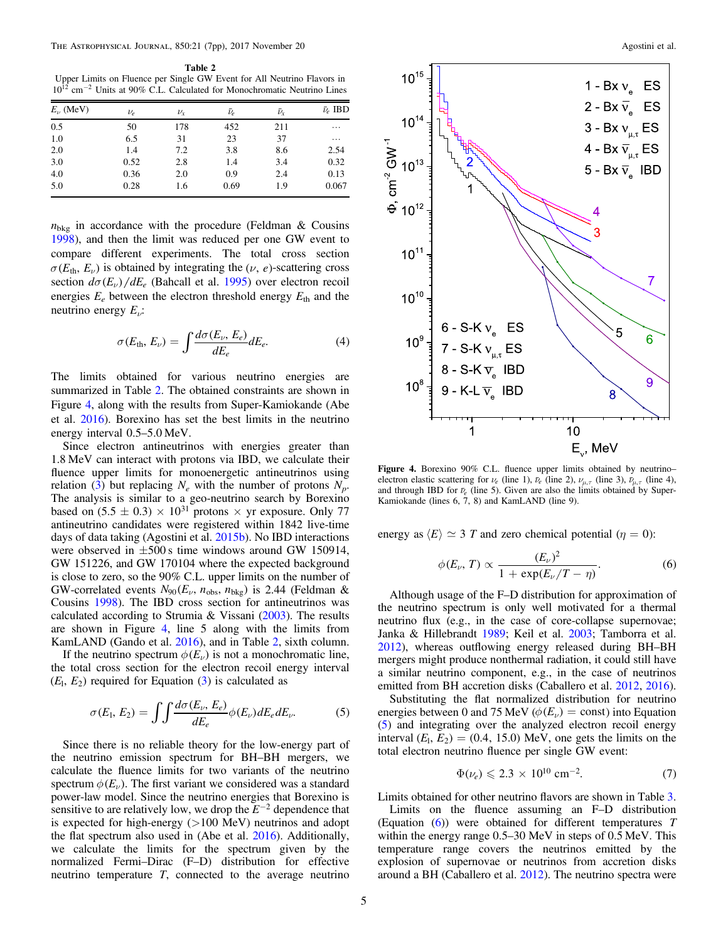<span id="page-4-0"></span>Table 2<br>Upper Limits on Fluence per Single GW Event for All Neutrino Flavors in  $10^{12}$  cm<sup>-2</sup> Units at 90% C.L. Calculated for Monochromatic Neutrino Lines

| $E_{\nu}$ (MeV) | $\nu_e$ | $\nu_{\rm r}$ | $\bar{\nu}_e$ | $\bar{\nu}_{\rm r}$ | $\bar{\nu}_e$ IBD |
|-----------------|---------|---------------|---------------|---------------------|-------------------|
| 0.5             | 50      | 178           | 452           | 211                 | $\cdots$          |
| 1.0             | 6.5     | 31            | 23            | 37                  | $\cdots$          |
| 2.0             | 1.4     | 7.2           | 3.8           | 8.6                 | 2.54              |
| 3.0             | 0.52    | 2.8           | 1.4           | 3.4                 | 0.32              |
| 4.0             | 0.36    | 2.0           | 0.9           | 2.4                 | 0.13              |
| 5.0             | 0.28    | 1.6           | 0.69          | 1.9                 | 0.067             |

 $n_{\text{bkg}}$  in accordance with the procedure (Feldman & Cousins [1998](#page-6-0)), and then the limit was reduced per one GW event to compare different experiments. The total cross section  $\sigma(E_{\text{th}}, E_{\nu})$  is obtained by integrating the ( $\nu$ , *e*)-scattering cross section  $d\sigma(E_\nu)/dE_e$  (Bahcall et al. [1995](#page-5-0)) over electron recoil energies  $E_e$  between the electron threshold energy  $E_{\text{th}}$  and the neutrino energy  $E_{\nu}$ :

$$
\sigma(E_{\text{th}}, E_{\nu}) = \int \frac{d\sigma(E_{\nu}, E_e)}{dE_e} dE_e. \tag{4}
$$

The limits obtained for various neutrino energies are summarized in Table 2. The obtained constraints are shown in Figure 4, along with the results from Super-Kamiokande (Abe et al. [2016](#page-5-0)). Borexino has set the best limits in the neutrino energy interval 0.5–5.0 MeV.

Since electron antineutrinos with energies greater than 1.8 MeV can interact with protons via IBD, we calculate their fluence upper limits for monoenergetic antineutrinos using relation ([3](#page-3-0)) but replacing  $N_e$  with the number of protons  $N_p$ . The analysis is similar to a geo-neutrino search by Borexino based on  $(5.5 \pm 0.3) \times 10^{31}$  protons  $\times$  yr exposure. Only 77 antineutrino candidates were registered within 1842 live-time days of data taking (Agostini et al. [2015b](#page-5-0)). No IBD interactions were observed in  $\pm 500$  s time windows around GW 150914, GW 151226, and GW 170104 where the expected background is close to zero, so the 90% C.L. upper limits on the number of GW-correlated events  $N_{90}(E_{\nu}, n_{\text{obs}}, n_{\text{bkg}})$  is 2.44 (Feldman & Cousins [1998](#page-6-0)). The IBD cross section for antineutrinos was calculated according to Strumia & Vissani ([2003](#page-6-0)). The results are shown in Figure 4, line 5 along with the limits from KamLAND (Gando et al. [2016](#page-6-0)), and in Table 2, sixth column.

If the neutrino spectrum  $\phi(E_{\nu})$  is not a monochromatic line, the total cross section for the electron recoil energy interval  $(E_1, E_2)$  required for Equation  $(3)$  $(3)$  $(3)$  is calculated as

$$
\sigma(E_1, E_2) = \int \int \frac{d\sigma(E_\nu, E_e)}{dE_e} \phi(E_\nu) dE_e dE_\nu.
$$
 (5)

Since there is no reliable theory for the low-energy part of the neutrino emission spectrum for BH–BH mergers, we calculate the fluence limits for two variants of the neutrino spectrum  $\phi(E_\nu)$ . The first variant we considered was a standard power-law model. Since the neutrino energies that Borexino is sensitive to are relatively low, we drop the  $E^{-2}$  dependence that is expected for high-energy (>100 MeV) neutrinos and adopt the flat spectrum also used in (Abe et al. [2016](#page-5-0)). Additionally, we calculate the limits for the spectrum given by the normalized Fermi–Dirac (F–D) distribution for effective neutrino temperature  $T$ , connected to the average neutrino



Figure 4. Borexino 90% C.L. fluence upper limits obtained by neutrino– electron elastic scattering for  $\nu_e$  (line 1),  $\bar{\nu}_e$  (line 2),  $\nu_{\mu\tau}$  (line 3),  $\bar{\nu}_{\mu\tau}$  (line 4), and through IBD for  $\bar{\nu}_e$  (line 5). Given are also the limits obtained by Super-Kamiokande (lines 6, 7, 8) and KamLAND (line 9).

energy as  $\langle E \rangle \simeq 3$  T and zero chemical potential ( $\eta = 0$ ):

$$
\phi(E_{\nu},T) \propto \frac{(E_{\nu})^2}{1+\exp(E_{\nu}/T-\eta)}.
$$
\n(6)

Although usage of the F–D distribution for approximation of the neutrino spectrum is only well motivated for a thermal neutrino flux (e.g., in the case of core-collapse supernovae; Janka & Hillebrandt [1989](#page-6-0); Keil et al. [2003](#page-6-0); Tamborra et al. [2012](#page-6-0)), whereas outflowing energy released during BH–BH mergers might produce nonthermal radiation, it could still have a similar neutrino component, e.g., in the case of neutrinos emitted from BH accretion disks (Caballero et al. [2012,](#page-6-0) [2016](#page-6-0)).

Substituting the flat normalized distribution for neutrino energies between 0 and 75 MeV ( $\phi(E_{\nu})$  = const) into Equation (5) and integrating over the analyzed electron recoil energy interval  $(E_1, E_2) = (0.4, 15.0)$  MeV, one gets the limits on the total electron neutrino fluence per single GW event:

$$
\Phi(\nu_e) \leqslant 2.3 \times 10^{10} \text{ cm}^{-2}.
$$
\n<sup>(7)</sup>

Limits obtained for other neutrino flavors are shown in Table [3](#page-5-0).

Limits on the fluence assuming an F–D distribution (Equation (6)) were obtained for different temperatures T within the energy range 0.5–30 MeV in steps of 0.5 MeV. This temperature range covers the neutrinos emitted by the explosion of supernovae or neutrinos from accretion disks around a BH (Caballero et al. [2012](#page-6-0)). The neutrino spectra were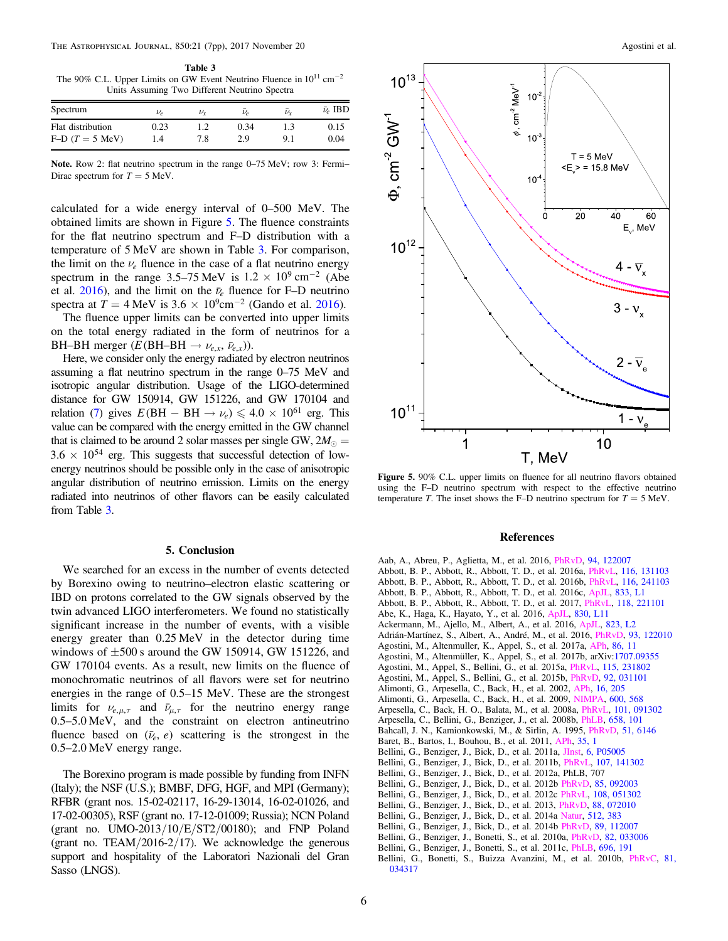<span id="page-5-0"></span>Table 3 The 90% C.L. Upper Limits on GW Event Neutrino Fluence in  $10^{11}$  cm<sup>-2</sup> Units Assuming Two Different Neutrino Spectra

| Spectrum          | $\nu_e$ | $\nu_{\rm v}$ | $\bar{\nu}$ | $\bar{\nu}_{\rm r}$ | $\bar{\nu}_e$ IBD |
|-------------------|---------|---------------|-------------|---------------------|-------------------|
| Flat distribution | 0.23    | 1.2           | 0.34        |                     | 0.15              |
| $F-D(T=5$ MeV)    | 1.4     | 7.8           | 2.9         | 9.1                 | 0.04              |

Note. Row 2: flat neutrino spectrum in the range 0–75 MeV; row 3: Fermi– Dirac spectrum for  $T = 5$  MeV.

calculated for a wide energy interval of 0–500 MeV. The obtained limits are shown in Figure 5. The fluence constraints for the flat neutrino spectrum and F–D distribution with a temperature of 5 MeV are shown in Table 3. For comparison, the limit on the  $\nu_e$  fluence in the case of a flat neutrino energy spectrum in the range 3.5–75 MeV is  $1.2 \times 10^9$  cm<sup>-2</sup> (Abe et al.  $2016$ , and the limit on the  $\bar{\nu}_e$  fluence for F–D neutrino spectra at  $T = 4$  MeV is  $3.6 \times 10^9$ cm<sup>-2</sup> (Gando et al. [2016](#page-6-0)).

The fluence upper limits can be converted into upper limits on the total energy radiated in the form of neutrinos for a BH–BH merger  $(E(BH-BH \rightarrow \nu_{e,x}, \bar{\nu}_{e,x}))$ .

Here, we consider only the energy radiated by electron neutrinos assuming a flat neutrino spectrum in the range 0–75 MeV and isotropic angular distribution. Usage of the LIGO-determined distance for GW 150914, GW 151226, and GW 170104 and relation ([7](#page-4-0)) gives  $E(BH - BH \rightarrow \nu_e) \leq 4.0 \times 10^{61}$  erg. This value can be compared with the energy emitted in the GW channel that is claimed to be around 2 solar masses per single GW,  $2M_{\odot}$  =  $3.6 \times 10^{54}$  erg. This suggests that successful detection of lowenergy neutrinos should be possible only in the case of anisotropic angular distribution of neutrino emission. Limits on the energy radiated into neutrinos of other flavors can be easily calculated from Table 3.

### 5. Conclusion

We searched for an excess in the number of events detected by Borexino owing to neutrino–electron elastic scattering or IBD on protons correlated to the GW signals observed by the twin advanced LIGO interferometers. We found no statistically significant increase in the number of events, with a visible energy greater than 0.25 MeV in the detector during time windows of  $\pm 500$  s around the GW 150914, GW 151226, and GW 170104 events. As a result, new limits on the fluence of monochromatic neutrinos of all flavors were set for neutrino energies in the range of 0.5–15 MeV. These are the strongest limits for  $\nu_{e,\mu,\tau}$  and  $\bar{\nu}_{\mu,\tau}$  for the neutrino energy range 0.5–5.0 MeV, and the constraint on electron antineutrino fluence based on  $(\bar{\nu}_e, e)$  scattering is the strongest in the 0.5–2.0 MeV energy range.

The Borexino program is made possible by funding from INFN (Italy); the NSF (U.S.); BMBF, DFG, HGF, and MPI (Germany); RFBR (grant nos. 15-02-02117, 16-29-13014, 16-02-01026, and 17-02-00305), RSF (grant no. 17-12-01009; Russia); NCN Poland (grant no. UMO-2013/10/E/ST2/00180); and FNP Poland (grant no. TEAM/2016-2/17). We acknowledge the generous support and hospitality of the Laboratori Nazionali del Gran Sasso (LNGS).



Figure 5. 90% C.L. upper limits on fluence for all neutrino flavors obtained using the F–D neutrino spectrum with respect to the effective neutrino temperature T. The inset shows the F–D neutrino spectrum for  $T = 5$  MeV.

### References

Aab, A., Abreu, P., Aglietta, M., et al. 2016, [PhRvD,](https://doi.org/10.1103/PhysRevD.94.122007) [94, 122007](http://adsabs.harvard.edu/abs/2016PhRvD..94l2007A) Abbott, B. P., Abbott, R., Abbott, T. D., et al. 2016a, [PhRvL,](https://doi.org/10.1103/PhysRevLett.116.131103) [116, 131103](http://adsabs.harvard.edu/abs/2016PhRvL.116m1103A) Abbott, B. P., Abbott, R., Abbott, T. D., et al. 2016b, [PhRvL](https://doi.org/10.1103/PhysRevLett.116.241103), [116, 241103](http://adsabs.harvard.edu/abs/2016PhRvL.116x1103A) Abbott, B. P., Abbott, R., Abbott, T. D., et al. 2016c, [ApJL,](https://doi.org/10.3847/2041-8205/833/1/L1) [833, L1](http://adsabs.harvard.edu/abs/2016ApJ...833L...1A) Abbott, B. P., Abbott, R., Abbott, T. D., et al. 2017, [PhRvL](https://doi.org/10.1103/PhysRevLett.118.221101), [118, 221101](http://adsabs.harvard.edu/abs/2017PhRvL.118v1101A) Abe, K., Haga, K., Hayato, Y., et al. 2016, [ApJL](https://doi.org/10.3847/2041-8205/830/1/L11), [830, L11](http://adsabs.harvard.edu/abs/2016ApJ...830L..11A) Ackermann, M., Ajello, M., Albert, A., et al. 2016, [ApJL](https://doi.org/10.3847/2041-8205/823/1/L2), [823, L2](http://adsabs.harvard.edu/abs/2016ApJ...823L...2A) Adrián-Martínez, S., Albert, A., André, M., et al. 2016, [PhRvD](https://doi.org/10.1103/PhysRevD.93.122010), [93, 122010](http://adsabs.harvard.edu/abs/2016PhRvD..93l2010A) Agostini, M., Altenmuller, K., Appel, S., et al. 2017a, [APh](https://doi.org/10.1016/j.astropartphys.2016.10.004), [86, 11](http://adsabs.harvard.edu/abs/2017APh....86...11A) Agostini, M., Altenmüller, K., Appel, S., et al. 2017b, arXiv:[1707.09355](http://arxiv.org/abs/1707.09355) Agostini, M., Appel, S., Bellini, G., et al. 2015a, [PhRvL](https://doi.org/10.1103/PhysRevLett.115.231802), [115, 231802](http://adsabs.harvard.edu/abs/2015PhRvL.115w1802A) Agostini, M., Appel, S., Bellini, G., et al. 2015b, [PhRvD,](https://doi.org/10.1103/PhysRevD.92.031101) [92, 031101](http://adsabs.harvard.edu/abs/2015PhRvD..92c1101A) Alimonti, G., Arpesella, C., Back, H., et al. 2002, [APh,](https://doi.org/10.1016/S0927-6505(01)00110-4) [16, 205](http://adsabs.harvard.edu/abs/2002APh....16..205B) Alimonti, G., Arpesella, C., Back, H., et al. 2009, [NIMPA](https://doi.org/10.1016/j.nima.2008.11.076), [600, 568](http://adsabs.harvard.edu/abs/2009NIMPA.600..568A) Arpesella, C., Back, H. O., Balata, M., et al. 2008a, [PhRvL,](https://doi.org/10.1103/PhysRevLett.101.091302) [101, 091302](http://adsabs.harvard.edu/abs/2008PhRvL.101i1302A) Arpesella, C., Bellini, G., Benziger, J., et al. 2008b, [PhLB,](https://doi.org/10.1016/j.physletb.2007.09.054) [658, 101](http://adsabs.harvard.edu/abs/2008PhLB..658..101A) Bahcall, J. N., Kamionkowski, M., & Sirlin, A. 1995, [PhRvD,](https://doi.org/10.1103/PhysRevD.51.6146) [51, 6146](http://adsabs.harvard.edu/abs/1995PhRvD..51.6146B) Baret, B., Bartos, I., Bouhou, B., et al. 2011, [APh](https://doi.org/10.1016/j.astropartphys.2011.04.001), [35, 1](http://adsabs.harvard.edu/abs/2011APh....35....1B) Bellini, G., Benziger, J., Bick, D., et al. 2011a, [JInst,](https://doi.org/10.1088/1748-0221/6/05/P05005) [6, P05005](http://adsabs.harvard.edu/abs/2011JInst...6.5005B) Bellini, G., Benziger, J., Bick, D., et al. 2011b, [PhRvL,](https://doi.org/10.1103/PhysRevLett.107.141302) [107, 141302](http://adsabs.harvard.edu/abs/2011PhRvL.107n1302B) Bellini, G., Benziger, J., Bick, D., et al. 2012a, PhLB, 707 Bellini, G., Benziger, J., Bick, D., et al. 2012b [PhRvD,](https://doi.org/10.1103/PhysRevD.85.092003) [85, 092003](http://adsabs.harvard.edu/abs/2012PhRvD..85i2003B) Bellini, G., Benziger, J., Bick, D., et al. 2012c [PhRvL](https://doi.org/10.1103/PhysRevLett.108.051302), [108, 051302](http://adsabs.harvard.edu/abs/2012PhRvL.108e1302B) Bellini, G., Benziger, J., Bick, D., et al. 2013, [PhRvD,](https://doi.org/10.1103/PhysRevD.88.072010) [88, 072010](http://adsabs.harvard.edu/abs/2013PhRvD..88g2010B) Bellini, G., Benziger, J., Bick, D., et al. 2014a [Natur,](https://doi.org/10.1038/nature13702) [512, 383](http://adsabs.harvard.edu/abs/2014Natur.512..383B) Bellini, G., Benziger, J., Bick, D., et al. 2014b [PhRvD,](https://doi.org/10.1103/PhysRevD.89.112007) [89, 112007](http://adsabs.harvard.edu/abs/2014PhRvD..89k2007B) Bellini, G., Benziger, J., Bonetti, S., et al. 2010a, [PhRvD](https://doi.org/10.1103/PhysRevD.82.033006), [82, 033006](http://adsabs.harvard.edu/abs/2010PhRvD..82c3006B) Bellini, G., Benziger, J., Bonetti, S., et al. 2011c, [PhLB](https://doi.org/10.1016/j.physletb.2010.12.030), [696, 191](http://adsabs.harvard.edu/abs/2011PhLB..696..191B) Bellini, G., Bonetti, S., Buizza Avanzini, M., et al. 2010b, [PhRvC](https://doi.org/10.1103/PhysRevC.81.034317), [81,](http://adsabs.harvard.edu/abs/2010PhRvC..81c4317B) [034317](http://adsabs.harvard.edu/abs/2010PhRvC..81c4317B)